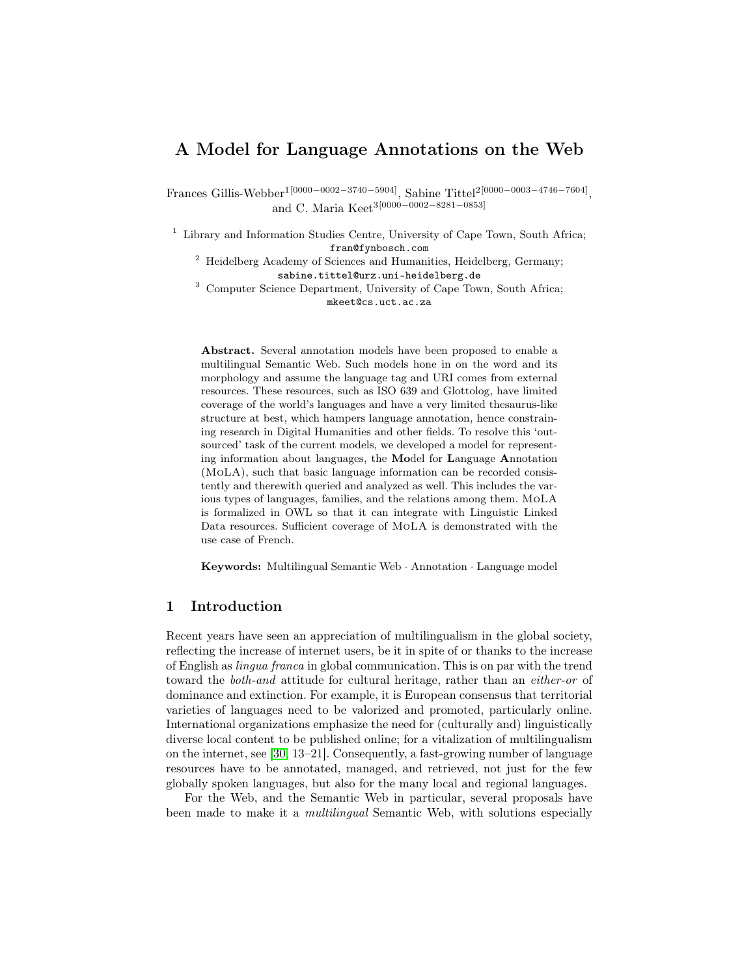# A Model for Language Annotations on the Web

Frances Gillis-Webber<sup>1[0000–0002–3740–5904]</sup>, Sabine Tittel<sup>2[0000–0003–4746–7604]</sup>, and C. Maria Keet3[0000−0002−8281−0853]

<sup>1</sup> Library and Information Studies Centre, University of Cape Town, South Africa; fran@fynbosch.com

<sup>2</sup> Heidelberg Academy of Sciences and Humanities, Heidelberg, Germany; sabine.tittel@urz.uni-heidelberg.de

<sup>3</sup> Computer Science Department, University of Cape Town, South Africa; mkeet@cs.uct.ac.za

Abstract. Several annotation models have been proposed to enable a multilingual Semantic Web. Such models hone in on the word and its morphology and assume the language tag and URI comes from external resources. These resources, such as ISO 639 and Glottolog, have limited coverage of the world's languages and have a very limited thesaurus-like structure at best, which hampers language annotation, hence constraining research in Digital Humanities and other fields. To resolve this 'outsourced' task of the current models, we developed a model for representing information about languages, the Model for Language Annotation (MoLA), such that basic language information can be recorded consistently and therewith queried and analyzed as well. This includes the various types of languages, families, and the relations among them. MoLA is formalized in OWL so that it can integrate with Linguistic Linked Data resources. Sufficient coverage of MoLA is demonstrated with the use case of French.

Keywords: Multilingual Semantic Web · Annotation · Language model

## 1 Introduction

Recent years have seen an appreciation of multilingualism in the global society, reflecting the increase of internet users, be it in spite of or thanks to the increase of English as lingua franca in global communication. This is on par with the trend toward the both-and attitude for cultural heritage, rather than an either-or of dominance and extinction. For example, it is European consensus that territorial varieties of languages need to be valorized and promoted, particularly online. International organizations emphasize the need for (culturally and) linguistically diverse local content to be published online; for a vitalization of multilingualism on the internet, see [\[30,](#page-14-0) 13–21]. Consequently, a fast-growing number of language resources have to be annotated, managed, and retrieved, not just for the few globally spoken languages, but also for the many local and regional languages.

For the Web, and the Semantic Web in particular, several proposals have been made to make it a multilingual Semantic Web, with solutions especially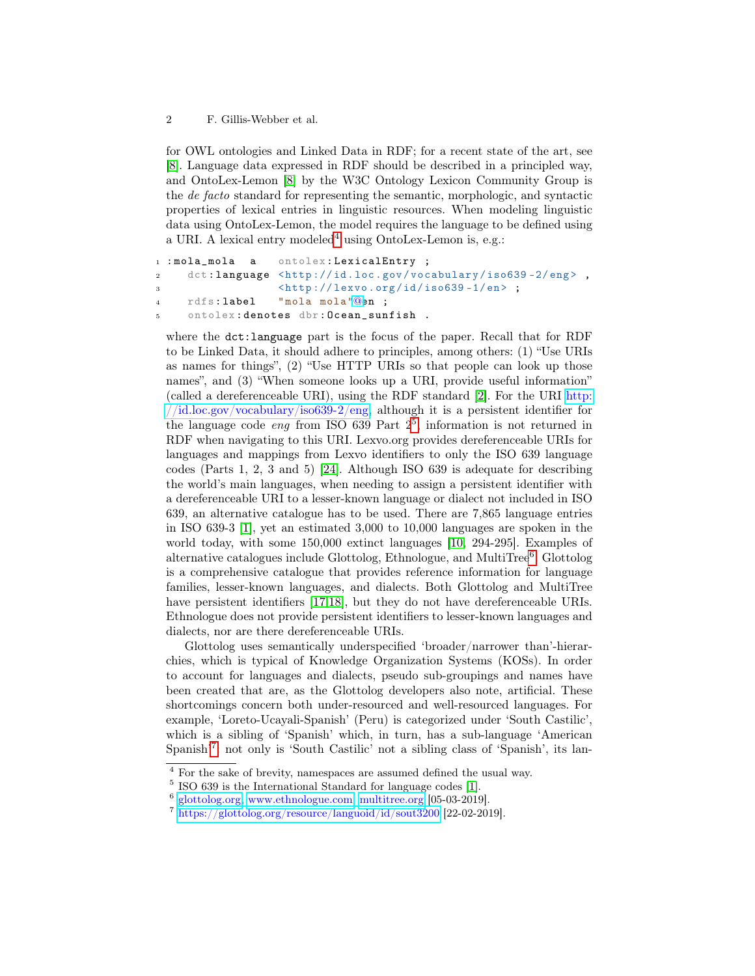for OWL ontologies and Linked Data in RDF; for a recent state of the art, see [\[8\]](#page-13-0). Language data expressed in RDF should be described in a principled way, and OntoLex-Lemon [\[8\]](#page-13-0) by the W3C Ontology Lexicon Community Group is the de facto standard for representing the semantic, morphologic, and syntactic properties of lexical entries in linguistic resources. When modeling linguistic data using OntoLex-Lemon, the model requires the language to be defined using a URI. A lexical entry modeled<sup>[4](#page-1-0)</sup> using OntoLex-Lemon is, e.g.:

```
1 : mola_mola a ontolex : LexicalEntry ;
2 dct:language <http://id.loc.gov/vocabulary/iso639-2/eng>,
3 
4 rdfs : label " mola mola "@en ;
5 ontolex : denotes dbr : Ocean_sunfish .
```
where the dct:language part is the focus of the paper. Recall that for RDF to be Linked Data, it should adhere to principles, among others: (1) "Use URIs as names for things", (2) "Use HTTP URIs so that people can look up those names", and (3) "When someone looks up a URI, provide useful information" (called a dereferenceable URI), using the RDF standard [\[2\]](#page-13-1). For the URI [http:](http://id.loc.gov/vocabulary/iso639-2/eng) [//id.loc.gov/vocabulary/iso639-2/eng,](http://id.loc.gov/vocabulary/iso639-2/eng) although it is a persistent identifier for the language code *eng* from ISO 639 Part  $2^5$  $2^5$ , information is not returned in RDF when navigating to this URI. Lexvo.org provides dereferenceable URIs for languages and mappings from Lexvo identifiers to only the ISO 639 language codes (Parts 1, 2, 3 and 5) [\[24\]](#page-14-1). Although ISO 639 is adequate for describing the world's main languages, when needing to assign a persistent identifier with a dereferenceable URI to a lesser-known language or dialect not included in ISO 639, an alternative catalogue has to be used. There are 7,865 language entries in ISO 639-3 [\[1\]](#page-13-2), yet an estimated 3,000 to 10,000 languages are spoken in the world today, with some 150,000 extinct languages [\[10,](#page-13-3) 294-295]. Examples of alternative catalogues include Glottolog, Ethnologue, and MultiTree<sup>[6](#page-1-2)</sup>. Glottolog is a comprehensive catalogue that provides reference information for language families, lesser-known languages, and dialects. Both Glottolog and MultiTree have persistent identifiers [\[17,](#page-14-2)[18\]](#page-14-3), but they do not have dereferenceable URIs. Ethnologue does not provide persistent identifiers to lesser-known languages and dialects, nor are there dereferenceable URIs.

Glottolog uses semantically underspecified 'broader/narrower than'-hierarchies, which is typical of Knowledge Organization Systems (KOSs). In order to account for languages and dialects, pseudo sub-groupings and names have been created that are, as the Glottolog developers also note, artificial. These shortcomings concern both under-resourced and well-resourced languages. For example, 'Loreto-Ucayali-Spanish' (Peru) is categorized under 'South Castilic', which is a sibling of 'Spanish' which, in turn, has a sub-language 'American Spanish<sup>'[7](#page-1-3)</sup>: not only is 'South Castilic' not a sibling class of 'Spanish', its lan-

<span id="page-1-0"></span><sup>4</sup> For the sake of brevity, namespaces are assumed defined the usual way.

<span id="page-1-1"></span><sup>5</sup> ISO 639 is the International Standard for language codes [\[1\]](#page-13-2).

<span id="page-1-2"></span><sup>6</sup> [glottolog.org,](glottolog.org) [www.ethnologue.com,](www.ethnologue.com) <multitree.org> [05-03-2019].

<span id="page-1-3"></span> $^7$  <https://glottolog.org/resource/languoid/id/sout3200> [22-02-2019].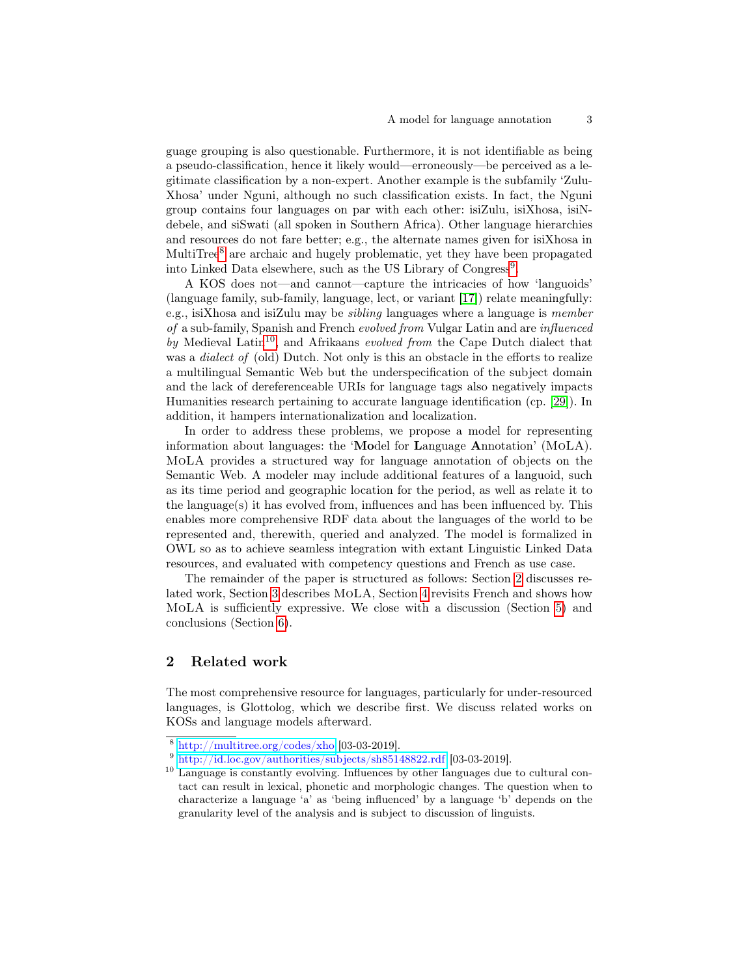guage grouping is also questionable. Furthermore, it is not identifiable as being a pseudo-classification, hence it likely would—erroneously—be perceived as a legitimate classification by a non-expert. Another example is the subfamily 'Zulu-Xhosa' under Nguni, although no such classification exists. In fact, the Nguni group contains four languages on par with each other: isiZulu, isiXhosa, isiNdebele, and siSwati (all spoken in Southern Africa). Other language hierarchies and resources do not fare better; e.g., the alternate names given for isiXhosa in MultiTree<sup>[8](#page-2-0)</sup> are archaic and hugely problematic, yet they have been propagated into Linked Data elsewhere, such as the US Library of Congress<sup>[9](#page-2-1)</sup>.

A KOS does not—and cannot—capture the intricacies of how 'languoids' (language family, sub-family, language, lect, or variant [\[17\]](#page-14-2)) relate meaningfully: e.g., isiXhosa and isiZulu may be sibling languages where a language is member of a sub-family, Spanish and French evolved from Vulgar Latin and are influenced by Medieval Latin<sup>[10](#page-2-2)</sup>, and Afrikaans evolved from the Cape Dutch dialect that was a *dialect of* (old) Dutch. Not only is this an obstacle in the efforts to realize a multilingual Semantic Web but the underspecification of the subject domain and the lack of dereferenceable URIs for language tags also negatively impacts Humanities research pertaining to accurate language identification (cp. [\[29\]](#page-14-4)). In addition, it hampers internationalization and localization.

In order to address these problems, we propose a model for representing information about languages: the 'Model for Language Annotation' (MoLA). MoLA provides a structured way for language annotation of objects on the Semantic Web. A modeler may include additional features of a languoid, such as its time period and geographic location for the period, as well as relate it to the language $(s)$  it has evolved from, influences and has been influenced by. This enables more comprehensive RDF data about the languages of the world to be represented and, therewith, queried and analyzed. The model is formalized in OWL so as to achieve seamless integration with extant Linguistic Linked Data resources, and evaluated with competency questions and French as use case.

The remainder of the paper is structured as follows: Section [2](#page-2-3) discusses related work, Section [3](#page-5-0) describes MoLA, Section [4](#page-9-0) revisits French and shows how MoLA is sufficiently expressive. We close with a discussion (Section [5\)](#page-12-0) and conclusions (Section [6\)](#page-13-4).

## <span id="page-2-3"></span>2 Related work

The most comprehensive resource for languages, particularly for under-resourced languages, is Glottolog, which we describe first. We discuss related works on KOSs and language models afterward.

<span id="page-2-0"></span> $8 \frac{\text{http://multitree.org/codes/xho [03-03-2019]}.$  $8 \frac{\text{http://multitree.org/codes/xho [03-03-2019]}.$  $8 \frac{\text{http://multitree.org/codes/xho [03-03-2019]}.$ 

<span id="page-2-1"></span><sup>&</sup>lt;sup>9</sup> <http://id.loc.gov/authorities/subjects/sh85148822.rdf> [03-03-2019].

<span id="page-2-2"></span><sup>&</sup>lt;sup>10</sup> Language is constantly evolving. Influences by other languages due to cultural contact can result in lexical, phonetic and morphologic changes. The question when to characterize a language 'a' as 'being influenced' by a language 'b' depends on the granularity level of the analysis and is subject to discussion of linguists.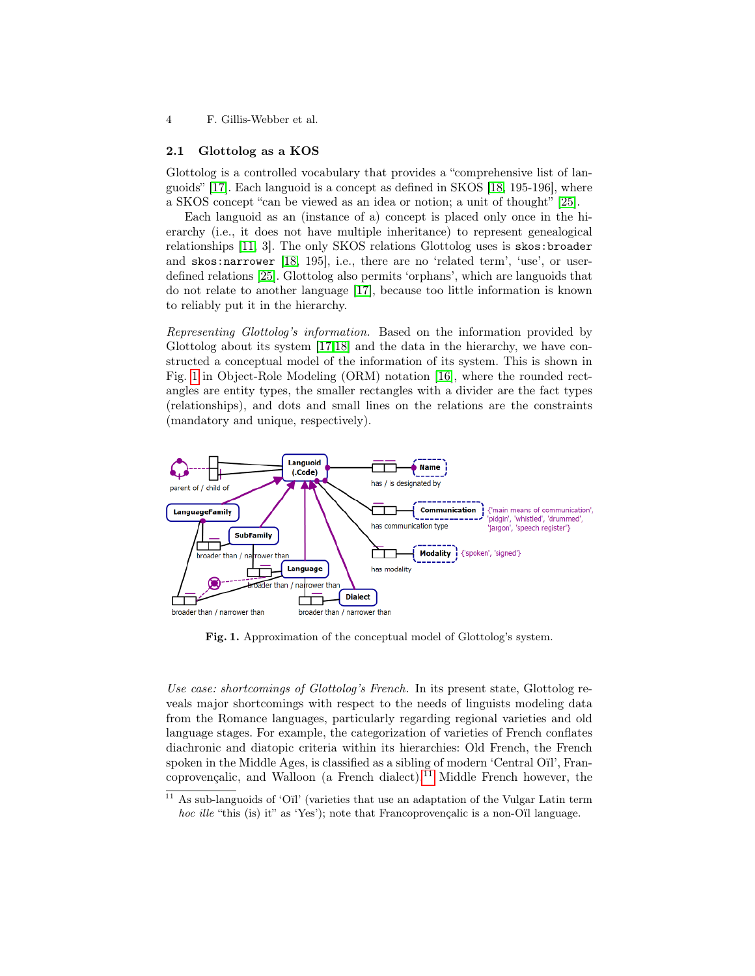#### 2.1 Glottolog as a KOS

Glottolog is a controlled vocabulary that provides a "comprehensive list of languoids" [\[17\]](#page-14-2). Each languoid is a concept as defined in SKOS [\[18,](#page-14-3) 195-196], where a SKOS concept "can be viewed as an idea or notion; a unit of thought" [\[25\]](#page-14-5).

Each languoid as an (instance of a) concept is placed only once in the hierarchy (i.e., it does not have multiple inheritance) to represent genealogical relationships [\[11,](#page-14-6) 3]. The only SKOS relations Glottolog uses is skos:broader and skos:narrower [\[18,](#page-14-3) 195], i.e., there are no 'related term', 'use', or userdefined relations [\[25\]](#page-14-5). Glottolog also permits 'orphans', which are languoids that do not relate to another language [\[17\]](#page-14-2), because too little information is known to reliably put it in the hierarchy.

Representing Glottolog's information. Based on the information provided by Glottolog about its system [\[17,](#page-14-2)[18\]](#page-14-3) and the data in the hierarchy, we have constructed a conceptual model of the information of its system. This is shown in Fig. [1](#page-3-0) in Object-Role Modeling (ORM) notation [\[16\]](#page-14-7), where the rounded rectangles are entity types, the smaller rectangles with a divider are the fact types (relationships), and dots and small lines on the relations are the constraints (mandatory and unique, respectively).



<span id="page-3-0"></span>Fig. 1. Approximation of the conceptual model of Glottolog's system.

Use case: shortcomings of Glottolog's French. In its present state, Glottolog reveals major shortcomings with respect to the needs of linguists modeling data from the Romance languages, particularly regarding regional varieties and old language stages. For example, the categorization of varieties of French conflates diachronic and diatopic criteria within its hierarchies: Old French, the French spoken in the Middle Ages, is classified as a sibling of modern 'Central Oïl', Fran-coprovençalic, and Walloon (a French dialect).<sup>[11](#page-3-1)</sup> Middle French however, the

<span id="page-3-1"></span> $11$  As sub-languoids of 'Oil' (varieties that use an adaptation of the Vulgar Latin term hoc ille "this (is) it" as 'Yes'); note that Francoprovençalic is a non-O'll language.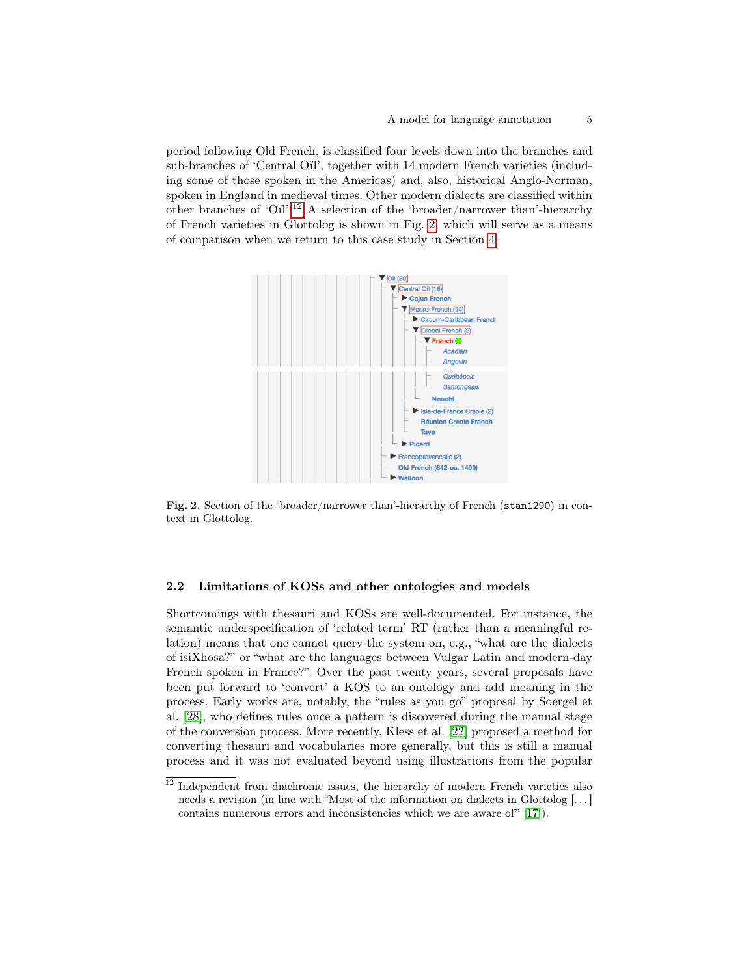period following Old French, is classified four levels down into the branches and sub-branches of 'Central Oïl', together with 14 modern French varieties (including some of those spoken in the Americas) and, also, historical Anglo-Norman, spoken in England in medieval times. Other modern dialects are classified within other branches of 'Oïl'.[12](#page-4-0) A selection of the 'broader/narrower than'-hierarchy of French varieties in Glottolog is shown in Fig. [2,](#page-4-1) which will serve as a means of comparison when we return to this case study in Section [4.](#page-9-0)



<span id="page-4-1"></span>Fig. 2. Section of the 'broader/narrower than'-hierarchy of French (stan1290) in context in Glottolog.

#### 2.2 Limitations of KOSs and other ontologies and models

Shortcomings with thesauri and KOSs are well-documented. For instance, the semantic underspecification of 'related term' RT (rather than a meaningful relation) means that one cannot query the system on, e.g., "what are the dialects of isiXhosa?" or "what are the languages between Vulgar Latin and modern-day French spoken in France?". Over the past twenty years, several proposals have been put forward to 'convert' a KOS to an ontology and add meaning in the process. Early works are, notably, the "rules as you go" proposal by Soergel et al. [\[28\]](#page-14-8), who defines rules once a pattern is discovered during the manual stage of the conversion process. More recently, Kless et al. [\[22\]](#page-14-9) proposed a method for converting thesauri and vocabularies more generally, but this is still a manual process and it was not evaluated beyond using illustrations from the popular

<span id="page-4-0"></span><sup>&</sup>lt;sup>12</sup> Independent from diachronic issues, the hierarchy of modern French varieties also needs a revision (in line with "Most of the information on dialects in Glottolog [. . . ] contains numerous errors and inconsistencies which we are aware of" [\[17\]](#page-14-2)).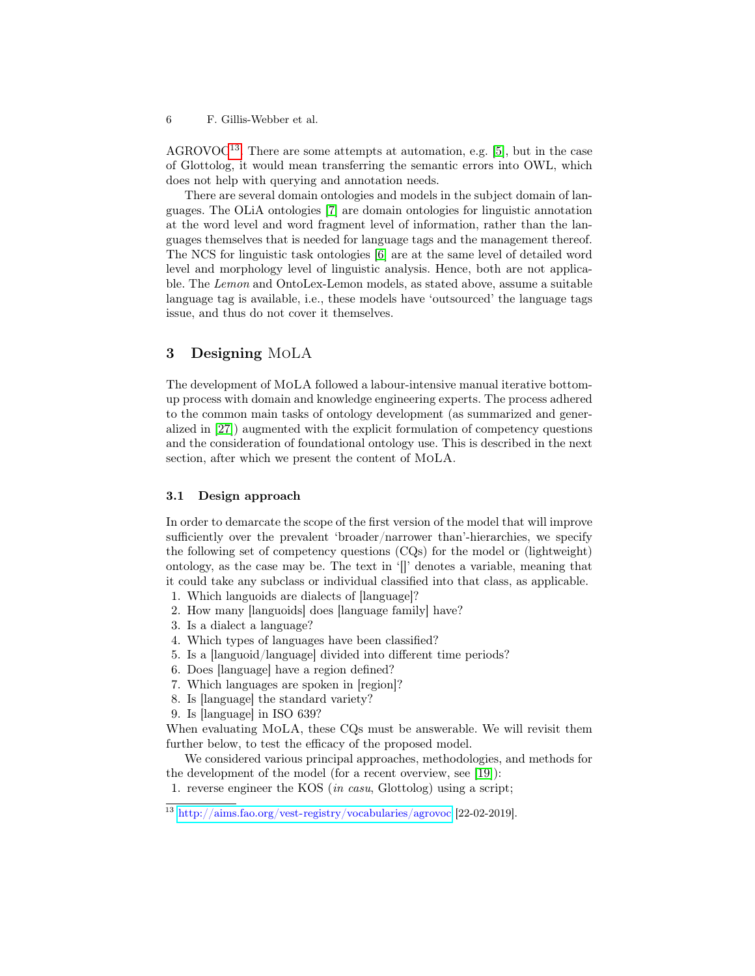$AGROVOC<sup>13</sup>$  $AGROVOC<sup>13</sup>$  $AGROVOC<sup>13</sup>$ . There are some attempts at automation, e.g. [\[5\]](#page-13-5), but in the case of Glottolog, it would mean transferring the semantic errors into OWL, which does not help with querying and annotation needs.

There are several domain ontologies and models in the subject domain of languages. The OLiA ontologies [\[7\]](#page-13-6) are domain ontologies for linguistic annotation at the word level and word fragment level of information, rather than the languages themselves that is needed for language tags and the management thereof. The NCS for linguistic task ontologies [\[6\]](#page-13-7) are at the same level of detailed word level and morphology level of linguistic analysis. Hence, both are not applicable. The Lemon and OntoLex-Lemon models, as stated above, assume a suitable language tag is available, i.e., these models have 'outsourced' the language tags issue, and thus do not cover it themselves.

## <span id="page-5-0"></span>3 Designing MoLA

The development of MoLA followed a labour-intensive manual iterative bottomup process with domain and knowledge engineering experts. The process adhered to the common main tasks of ontology development (as summarized and generalized in [\[27\]](#page-14-10)) augmented with the explicit formulation of competency questions and the consideration of foundational ontology use. This is described in the next section, after which we present the content of MoLA.

### 3.1 Design approach

In order to demarcate the scope of the first version of the model that will improve sufficiently over the prevalent 'broader/narrower than'-hierarchies, we specify the following set of competency questions (CQs) for the model or (lightweight) ontology, as the case may be. The text in '[]' denotes a variable, meaning that it could take any subclass or individual classified into that class, as applicable.

- 1. Which languoids are dialects of [language]?
- 2. How many [languoids] does [language family] have?
- 3. Is a dialect a language?
- 4. Which types of languages have been classified?
- 5. Is a [languoid/language] divided into different time periods?
- 6. Does [language] have a region defined?
- 7. Which languages are spoken in [region]?
- 8. Is [language] the standard variety?
- 9. Is [language] in ISO 639?

When evaluating MoLA, these CQs must be answerable. We will revisit them further below, to test the efficacy of the proposed model.

We considered various principal approaches, methodologies, and methods for the development of the model (for a recent overview, see [\[19\]](#page-14-11)):

<sup>1.</sup> reverse engineer the KOS (in casu, Glottolog) using a script;

<span id="page-5-1"></span><sup>13</sup> <http://aims.fao.org/vest-registry/vocabularies/agrovoc> [22-02-2019].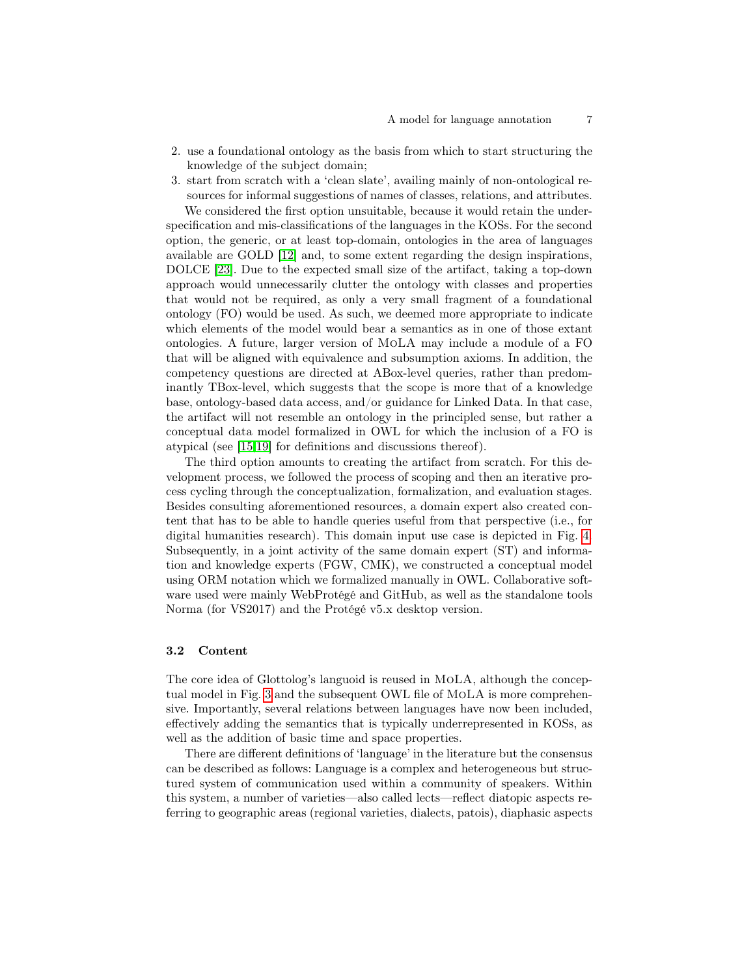- 2. use a foundational ontology as the basis from which to start structuring the knowledge of the subject domain;
- 3. start from scratch with a 'clean slate', availing mainly of non-ontological resources for informal suggestions of names of classes, relations, and attributes.

We considered the first option unsuitable, because it would retain the underspecification and mis-classifications of the languages in the KOSs. For the second option, the generic, or at least top-domain, ontologies in the area of languages available are GOLD [\[12\]](#page-14-12) and, to some extent regarding the design inspirations, DOLCE [\[23\]](#page-14-13). Due to the expected small size of the artifact, taking a top-down approach would unnecessarily clutter the ontology with classes and properties that would not be required, as only a very small fragment of a foundational ontology (FO) would be used. As such, we deemed more appropriate to indicate which elements of the model would bear a semantics as in one of those extant ontologies. A future, larger version of MoLA may include a module of a FO that will be aligned with equivalence and subsumption axioms. In addition, the competency questions are directed at ABox-level queries, rather than predominantly TBox-level, which suggests that the scope is more that of a knowledge base, ontology-based data access, and/or guidance for Linked Data. In that case, the artifact will not resemble an ontology in the principled sense, but rather a conceptual data model formalized in OWL for which the inclusion of a FO is atypical (see [\[15,](#page-14-14)[19\]](#page-14-11) for definitions and discussions thereof).

The third option amounts to creating the artifact from scratch. For this development process, we followed the process of scoping and then an iterative process cycling through the conceptualization, formalization, and evaluation stages. Besides consulting aforementioned resources, a domain expert also created content that has to be able to handle queries useful from that perspective (i.e., for digital humanities research). This domain input use case is depicted in Fig. [4.](#page-10-0) Subsequently, in a joint activity of the same domain expert (ST) and information and knowledge experts (FGW, CMK), we constructed a conceptual model using ORM notation which we formalized manually in OWL. Collaborative software used were mainly WebProtégé and GitHub, as well as the standalone tools Norma (for VS2017) and the Protégé v5.x desktop version.

### 3.2 Content

The core idea of Glottolog's languoid is reused in MoLA, although the conceptual model in Fig. [3](#page-8-0) and the subsequent OWL file of MoLA is more comprehensive. Importantly, several relations between languages have now been included, effectively adding the semantics that is typically underrepresented in KOSs, as well as the addition of basic time and space properties.

There are different definitions of 'language' in the literature but the consensus can be described as follows: Language is a complex and heterogeneous but structured system of communication used within a community of speakers. Within this system, a number of varieties—also called lects—reflect diatopic aspects referring to geographic areas (regional varieties, dialects, patois), diaphasic aspects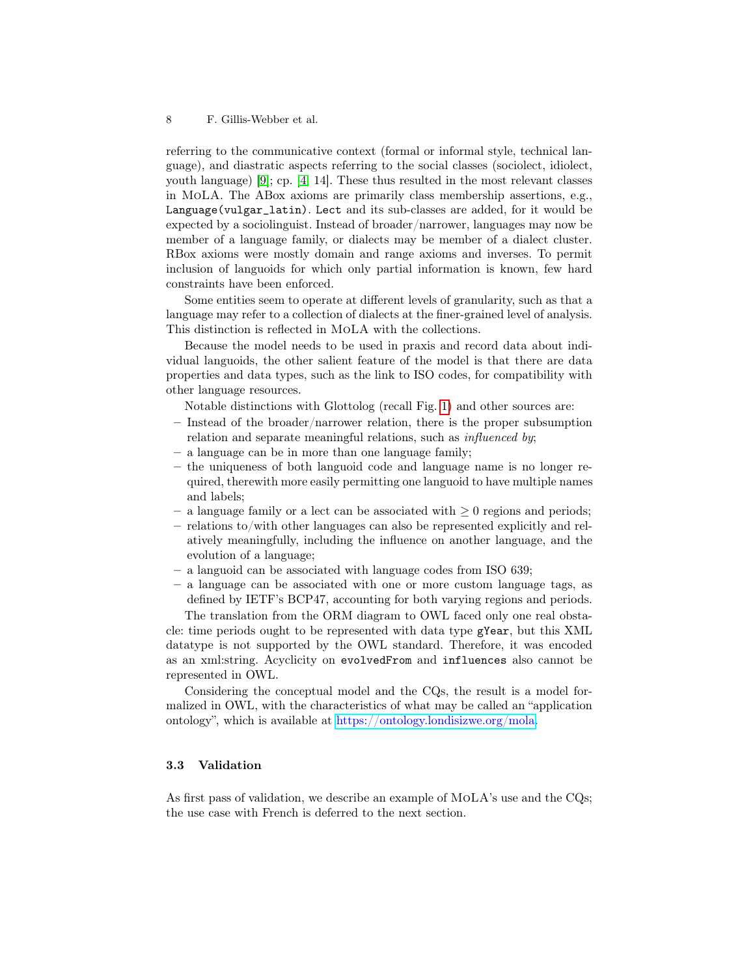referring to the communicative context (formal or informal style, technical language), and diastratic aspects referring to the social classes (sociolect, idiolect, youth language) [\[9\]](#page-13-8); cp. [\[4,](#page-13-9) 14]. These thus resulted in the most relevant classes in MoLA. The ABox axioms are primarily class membership assertions, e.g., Language(vulgar\_latin). Lect and its sub-classes are added, for it would be expected by a sociolinguist. Instead of broader/narrower, languages may now be member of a language family, or dialects may be member of a dialect cluster. RBox axioms were mostly domain and range axioms and inverses. To permit inclusion of languoids for which only partial information is known, few hard constraints have been enforced.

Some entities seem to operate at different levels of granularity, such as that a language may refer to a collection of dialects at the finer-grained level of analysis. This distinction is reflected in MoLA with the collections.

Because the model needs to be used in praxis and record data about individual languoids, the other salient feature of the model is that there are data properties and data types, such as the link to ISO codes, for compatibility with other language resources.

Notable distinctions with Glottolog (recall Fig. [1\)](#page-3-0) and other sources are:

- Instead of the broader/narrower relation, there is the proper subsumption relation and separate meaningful relations, such as *influenced by*;
- a language can be in more than one language family;
- the uniqueness of both languoid code and language name is no longer required, therewith more easily permitting one languoid to have multiple names and labels;
- $-$  a language family or a lect can be associated with  $\geq 0$  regions and periods;
- relations to/with other languages can also be represented explicitly and relatively meaningfully, including the influence on another language, and the evolution of a language;
- a languoid can be associated with language codes from ISO 639;
- a language can be associated with one or more custom language tags, as defined by IETF's BCP47, accounting for both varying regions and periods.

The translation from the ORM diagram to OWL faced only one real obstacle: time periods ought to be represented with data type gYear, but this XML datatype is not supported by the OWL standard. Therefore, it was encoded as an xml:string. Acyclicity on evolvedFrom and influences also cannot be represented in OWL.

Considering the conceptual model and the CQs, the result is a model formalized in OWL, with the characteristics of what may be called an "application ontology", which is available at [https://ontology.londisizwe.org/mola.](https://ontology.londisizwe.org/mola)

### 3.3 Validation

As first pass of validation, we describe an example of MoLA's use and the CQs; the use case with French is deferred to the next section.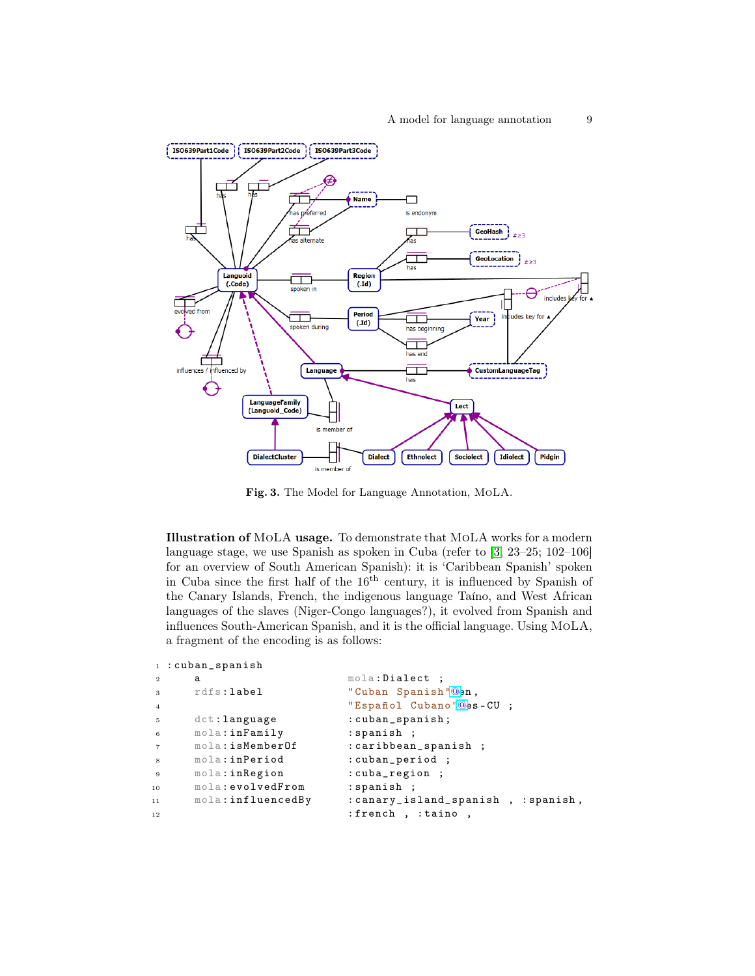

<span id="page-8-0"></span>Fig. 3. The Model for Language Annotation, MoLA.

Illustration of MoLA usage. To demonstrate that MoLA works for a modern language stage, we use Spanish as spoken in Cuba (refer to [\[3,](#page-13-10) 23–25; 102–106] for an overview of South American Spanish): it is 'Caribbean Spanish' spoken in Cuba since the first half of the  $16<sup>th</sup>$  century, it is influenced by Spanish of the Canary Islands, French, the indigenous language Taíno, and West African languages of the slaves (Niger-Congo languages?), it evolved from Spanish and influences South-American Spanish, and it is the official language. Using MoLA, a fragment of the encoding is as follows:

```
1 : cuban_spanish
```

```
a mola: Dialect ;
3 rdfs : label " Cuban Spanish "@en ,
4 " Espa ñol Cubano "@es -CU ;
5 dct:language : cuban_spanish;
6 mola:inFamily : spanish ;
7 mola:isMemberOf : caribbean_spanish ;<br>s mola:inPeriod : cuban_period ;
s mola:inPeriod : cuban_period ;
9 mola:inRegion : cuba_region ;
10 mola: evolvedFrom : spanish ;
11 mola : influencedBy : canary_island_spanish , : spanish ,
12 : french , : taino ,
```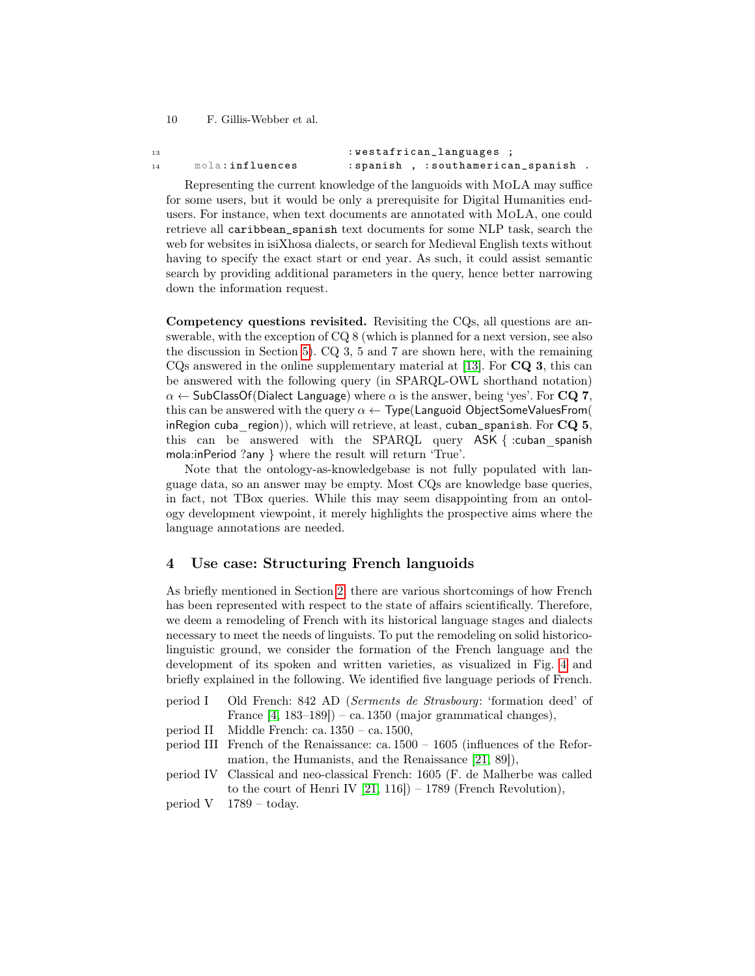13 : westafrican\_languages ; <sup>14</sup> mola : influences : spanish , : southamerican\_spanish .

Representing the current knowledge of the languoids with MoLA may suffice for some users, but it would be only a prerequisite for Digital Humanities endusers. For instance, when text documents are annotated with MoLA, one could retrieve all caribbean\_spanish text documents for some NLP task, search the web for websites in isiXhosa dialects, or search for Medieval English texts without having to specify the exact start or end year. As such, it could assist semantic search by providing additional parameters in the query, hence better narrowing down the information request.

Competency questions revisited. Revisiting the CQs, all questions are answerable, with the exception of CQ 8 (which is planned for a next version, see also the discussion in Section [5\)](#page-12-0). CQ 3, 5 and 7 are shown here, with the remaining  $CQs$  answered in the online supplementary material at [\[13\]](#page-14-15). For  $CQ$  3, this can be answered with the following query (in SPARQL-OWL shorthand notation)  $\alpha \leftarrow$  SubClassOf(Dialect Language) where  $\alpha$  is the answer, being 'yes'. For CQ 7, this can be answered with the query  $\alpha \leftarrow$  Type(Languoid ObjectSomeValuesFrom( inRegion cuba region)), which will retrieve, at least, cuban\_spanish. For  $CQ$  5, this can be answered with the SPARQL query ASK { :cuban\_spanish mola:inPeriod ?any } where the result will return 'True'.

Note that the ontology-as-knowledgebase is not fully populated with language data, so an answer may be empty. Most CQs are knowledge base queries, in fact, not TBox queries. While this may seem disappointing from an ontology development viewpoint, it merely highlights the prospective aims where the language annotations are needed.

### <span id="page-9-0"></span>4 Use case: Structuring French languoids

As briefly mentioned in Section [2,](#page-2-3) there are various shortcomings of how French has been represented with respect to the state of affairs scientifically. Therefore, we deem a remodeling of French with its historical language stages and dialects necessary to meet the needs of linguists. To put the remodeling on solid historicolinguistic ground, we consider the formation of the French language and the development of its spoken and written varieties, as visualized in Fig. [4](#page-10-0) and briefly explained in the following. We identified five language periods of French.

- period I Old French: 842 AD (Serments de Strasbourg: 'formation deed' of France  $[4, 183-189]$  $[4, 183-189]$  – ca. 1350 (major grammatical changes),
- period II Middle French: ca. 1350 ca. 1500,
- period III French of the Renaissance: ca.  $1500 1605$  (influences of the Reformation, the Humanists, and the Renaissance [\[21,](#page-14-16) 89]),
- period IV Classical and neo-classical French: 1605 (F. de Malherbe was called to the court of Henri IV  $[21, 116]$  $[21, 116]$ ) – 1789 (French Revolution),
- period V 1789 today.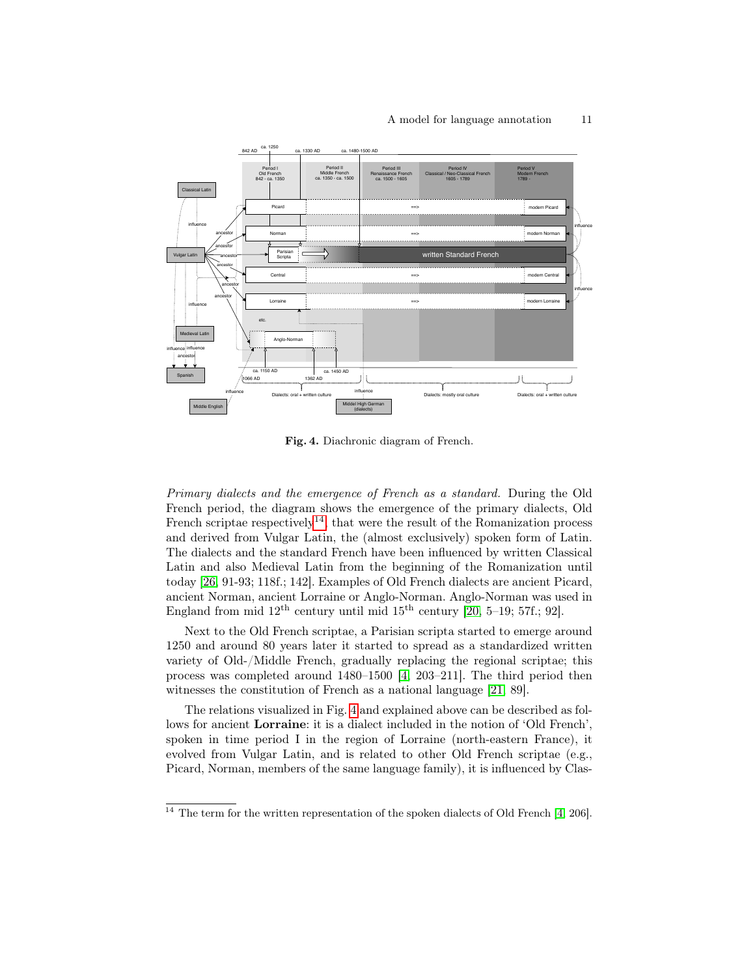#### A model for language annotation 11



<span id="page-10-0"></span>Fig. 4. Diachronic diagram of French.

Primary dialects and the emergence of French as a standard. During the Old French period, the diagram shows the emergence of the primary dialects, Old French scriptae respectively<sup>[14](#page-10-1)</sup>, that were the result of the Romanization process and derived from Vulgar Latin, the (almost exclusively) spoken form of Latin. The dialects and the standard French have been influenced by written Classical Latin and also Medieval Latin from the beginning of the Romanization until today [\[26,](#page-14-17) 91-93; 118f.; 142]. Examples of Old French dialects are ancient Picard, ancient Norman, ancient Lorraine or Anglo-Norman. Anglo-Norman was used in England from mid  $12<sup>th</sup>$  century until mid  $15<sup>th</sup>$  century [\[20,](#page-14-18) 5-19; 57f.; 92].

Next to the Old French scriptae, a Parisian scripta started to emerge around 1250 and around 80 years later it started to spread as a standardized written variety of Old-/Middle French, gradually replacing the regional scriptae; this process was completed around 1480–1500 [\[4,](#page-13-9) 203–211]. The third period then witnesses the constitution of French as a national language [\[21,](#page-14-16) 89].

The relations visualized in Fig. [4](#page-10-0) and explained above can be described as follows for ancient Lorraine: it is a dialect included in the notion of 'Old French', spoken in time period I in the region of Lorraine (north-eastern France), it evolved from Vulgar Latin, and is related to other Old French scriptae (e.g., Picard, Norman, members of the same language family), it is influenced by Clas-

<span id="page-10-1"></span> $\frac{14}{14}$  The term for the written representation of the spoken dialects of Old French [\[4,](#page-13-9) 206].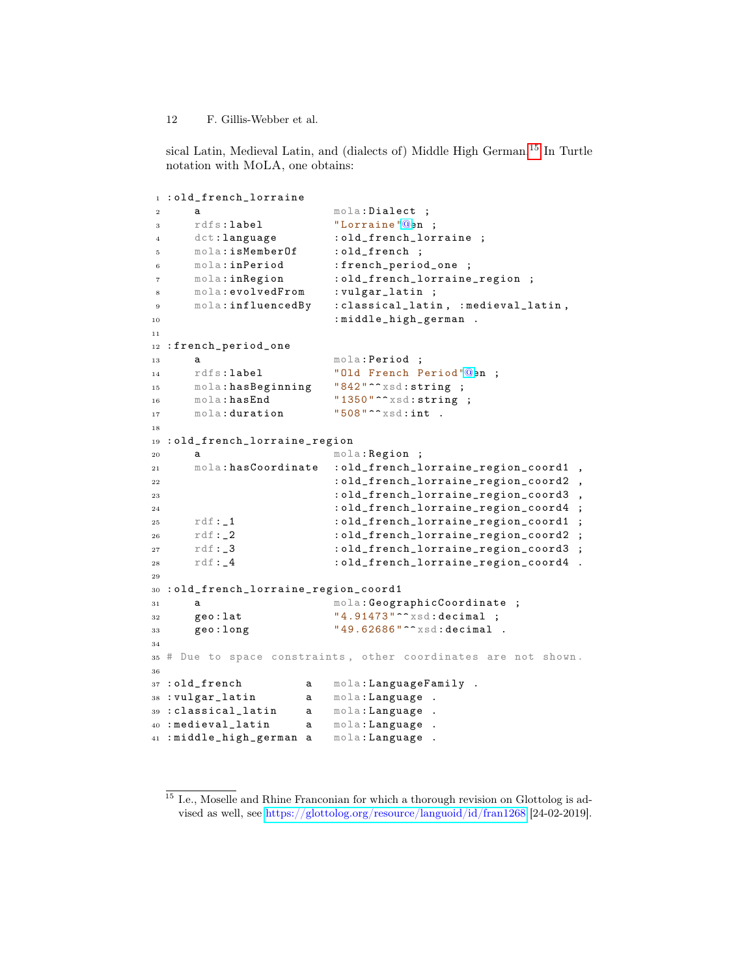sical Latin, Medieval Latin, and (dialects of) Middle High German.[15](#page-11-0) In Turtle notation with MoLA, one obtains:

```
1 : old_french_lorraine
2 a mola: Dialect ;
3 rdfs : label " Lorraine "@en ;
4 dct:language : old_french_lorraine ;
5 mola : isMemberOf : old_french ;
6 mola:inPeriod : french_period_one ;
7 mola : inRegion : old_french_lorraine_region ;
8 mola : evolvedFrom : vulgar_latin ;
9 mola : influencedBy : classical_latin , : medieval_latin ,
10 : middle_high_german .
11
12 : french_period_one
13 a mola: Period ;
14 rdfs:label " Old French Period " Qen ;
15 mola: has Beginning "842"^^ xsd: string ;
16 mola: hasEnd "1350"^^ xsd: string ;
17 mola: duration "508"^^ xsd: int .
18
19 : old_french_lorraine_region
20 a mola: Region ;
21 mola : hasCoordinate : old_french_lorraine_region_coord1 ,
22 : old_french_lorraine_region_coord2 ,
23 : old_french_lorraine_region_coord3
24 : old_french_lorraine_region_coord4 ;
25 \text{rdf} : \_1 : old_french_lorraine_region_coord1 ;
26 rdf :_2 : old_french_lorraine_region_coord2 ;
27 rdf:_3 :old_french_lorraine_region_coord3 ;
28 rdf: 4 : old_french_lorraine_region_coord4 .
29
30 : old_french_lorraine_region_coord1
31 a mola: GeographicCoordinate;
32 geo: lat " 4.91473" ^^ xsd: decimal ;
33 geo: long " 49.62686" ^^ xsd: decimal .
34
35 # Due to space constraints , other coordinates are not shown .
36
37 : old_french a mola: LanguageFamily .
38 : vulgar_latin a mola : Language .
39 : classical_latin a mola: Language
40 : medieval_latin a mola: Language
41 : middle_high_german a mola: Language .
```
<span id="page-11-0"></span> $^{15}$  I.e., Moselle and Rhine Franconian for which a thorough revision on Glottolog is advised as well, see <https://glottolog.org/resource/languoid/id/fran1268> [24-02-2019].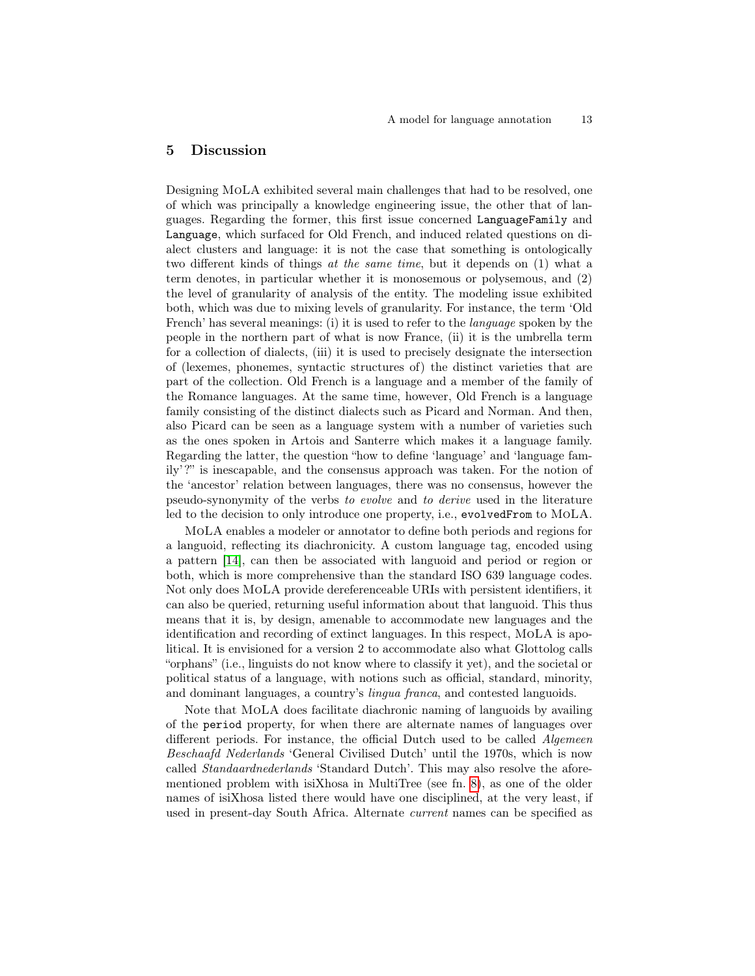## <span id="page-12-0"></span>5 Discussion

Designing MoLA exhibited several main challenges that had to be resolved, one of which was principally a knowledge engineering issue, the other that of languages. Regarding the former, this first issue concerned LanguageFamily and Language, which surfaced for Old French, and induced related questions on dialect clusters and language: it is not the case that something is ontologically two different kinds of things at the same time, but it depends on (1) what a term denotes, in particular whether it is monosemous or polysemous, and (2) the level of granularity of analysis of the entity. The modeling issue exhibited both, which was due to mixing levels of granularity. For instance, the term 'Old French' has several meanings: (i) it is used to refer to the *language* spoken by the people in the northern part of what is now France, (ii) it is the umbrella term for a collection of dialects, (iii) it is used to precisely designate the intersection of (lexemes, phonemes, syntactic structures of) the distinct varieties that are part of the collection. Old French is a language and a member of the family of the Romance languages. At the same time, however, Old French is a language family consisting of the distinct dialects such as Picard and Norman. And then, also Picard can be seen as a language system with a number of varieties such as the ones spoken in Artois and Santerre which makes it a language family. Regarding the latter, the question "how to define 'language' and 'language family'?" is inescapable, and the consensus approach was taken. For the notion of the 'ancestor' relation between languages, there was no consensus, however the pseudo-synonymity of the verbs to evolve and to derive used in the literature led to the decision to only introduce one property, i.e., evolvedFrom to MoLA.

MoLA enables a modeler or annotator to define both periods and regions for a languoid, reflecting its diachronicity. A custom language tag, encoded using a pattern [\[14\]](#page-14-19), can then be associated with languoid and period or region or both, which is more comprehensive than the standard ISO 639 language codes. Not only does MoLA provide dereferenceable URIs with persistent identifiers, it can also be queried, returning useful information about that languoid. This thus means that it is, by design, amenable to accommodate new languages and the identification and recording of extinct languages. In this respect, MoLA is apolitical. It is envisioned for a version 2 to accommodate also what Glottolog calls "orphans" (i.e., linguists do not know where to classify it yet), and the societal or political status of a language, with notions such as official, standard, minority, and dominant languages, a country's lingua franca, and contested languoids.

Note that MoLA does facilitate diachronic naming of languoids by availing of the period property, for when there are alternate names of languages over different periods. For instance, the official Dutch used to be called Algemeen Beschaafd Nederlands 'General Civilised Dutch' until the 1970s, which is now called Standaardnederlands 'Standard Dutch'. This may also resolve the aforementioned problem with isiXhosa in MultiTree (see fn. [8\)](#page-2-0), as one of the older names of isiXhosa listed there would have one disciplined, at the very least, if used in present-day South Africa. Alternate current names can be specified as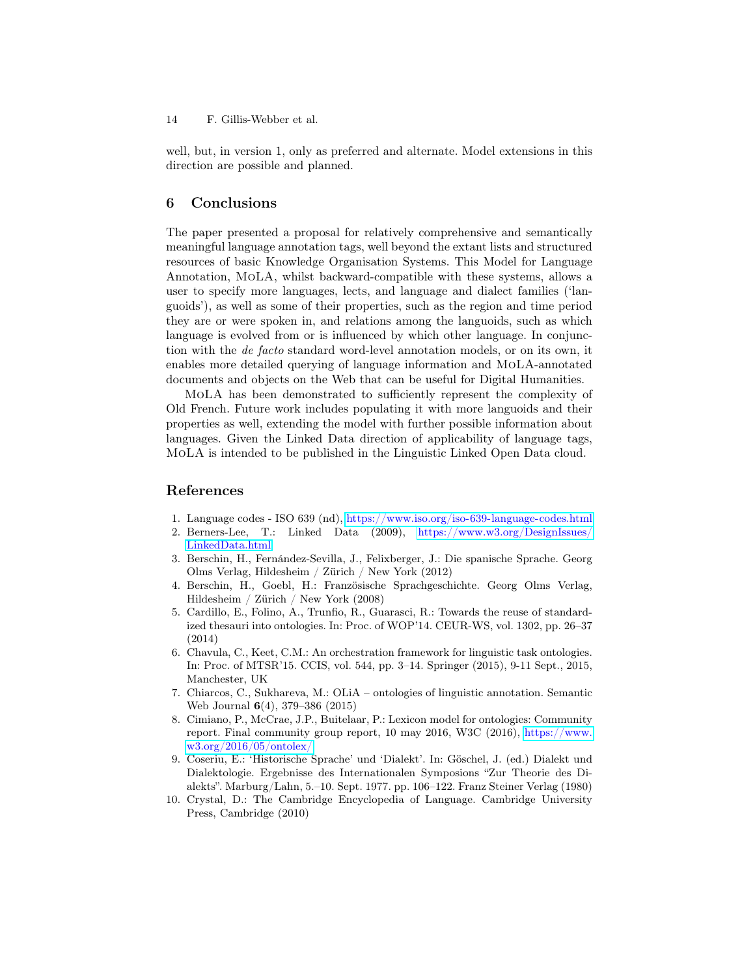well, but, in version 1, only as preferred and alternate. Model extensions in this direction are possible and planned.

### <span id="page-13-4"></span>6 Conclusions

The paper presented a proposal for relatively comprehensive and semantically meaningful language annotation tags, well beyond the extant lists and structured resources of basic Knowledge Organisation Systems. This Model for Language Annotation, MoLA, whilst backward-compatible with these systems, allows a user to specify more languages, lects, and language and dialect families ('languoids'), as well as some of their properties, such as the region and time period they are or were spoken in, and relations among the languoids, such as which language is evolved from or is influenced by which other language. In conjunction with the de facto standard word-level annotation models, or on its own, it enables more detailed querying of language information and MoLA-annotated documents and objects on the Web that can be useful for Digital Humanities.

MoLA has been demonstrated to sufficiently represent the complexity of Old French. Future work includes populating it with more languoids and their properties as well, extending the model with further possible information about languages. Given the Linked Data direction of applicability of language tags, MoLA is intended to be published in the Linguistic Linked Open Data cloud.

### References

- <span id="page-13-2"></span>1. Language codes - ISO 639 (nd), <https://www.iso.org/iso-639-language-codes.html>
- <span id="page-13-1"></span>2. Berners-Lee, T.: Linked Data (2009), [https://www.w3.org/DesignIssues/](https://www.w3.org/DesignIssues/LinkedData.html) [LinkedData.html](https://www.w3.org/DesignIssues/LinkedData.html)
- <span id="page-13-10"></span>3. Berschin, H., Fernández-Sevilla, J., Felixberger, J.: Die spanische Sprache. Georg Olms Verlag, Hildesheim / Zürich / New York (2012)
- <span id="page-13-9"></span>4. Berschin, H., Goebl, H.: Französische Sprachgeschichte. Georg Olms Verlag, Hildesheim / Zürich / New York (2008)
- <span id="page-13-5"></span>5. Cardillo, E., Folino, A., Trunfio, R., Guarasci, R.: Towards the reuse of standardized thesauri into ontologies. In: Proc. of WOP'14. CEUR-WS, vol. 1302, pp. 26–37 (2014)
- <span id="page-13-7"></span>6. Chavula, C., Keet, C.M.: An orchestration framework for linguistic task ontologies. In: Proc. of MTSR'15. CCIS, vol. 544, pp. 3–14. Springer (2015), 9-11 Sept., 2015, Manchester, UK
- <span id="page-13-6"></span>7. Chiarcos, C., Sukhareva, M.: OLiA – ontologies of linguistic annotation. Semantic Web Journal 6(4), 379–386 (2015)
- <span id="page-13-0"></span>8. Cimiano, P., McCrae, J.P., Buitelaar, P.: Lexicon model for ontologies: Community report. Final community group report, 10 may 2016, W3C (2016), [https://www.](https://www.w3.org/2016/05/ontolex/) [w3.org/2016/05/ontolex/](https://www.w3.org/2016/05/ontolex/)
- <span id="page-13-8"></span>9. Coseriu, E.: 'Historische Sprache' und 'Dialekt'. In: Göschel, J. (ed.) Dialekt und Dialektologie. Ergebnisse des Internationalen Symposions "Zur Theorie des Dialekts". Marburg/Lahn, 5.–10. Sept. 1977. pp. 106–122. Franz Steiner Verlag (1980)
- <span id="page-13-3"></span>10. Crystal, D.: The Cambridge Encyclopedia of Language. Cambridge University Press, Cambridge (2010)